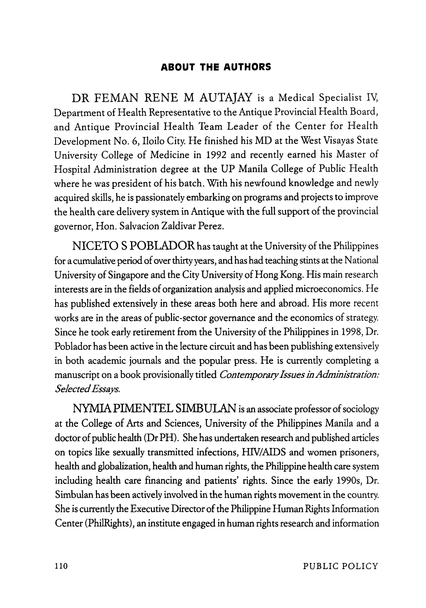## **ABOUT THE AUTHORS**

DR FEMAN RENE M AUTAJAY is a Medical Specialist IV, Department of Health Representative to the Antique Provincial Health Board, and Antique Provincial Health Team Leader of the Center for Health Development No.6, Iloilo City. He finished his MD at the West Visayas State University College of Medicine in 1992 and recently earned his Master of Hospital Administration degree at the UP Manila College of Public Health where he was president of his batch. With his newfound knowledge and newly acquired skills, he is passionately embarking on programs and projects to improve the health care delivery system in Antique with the full support of the provincial governor, Hon. Salvacion Zaldivar Perez.

NICETO S POBLADOR has taught at the University of the Philippines for a cumulative period of over thirty years, and has had teaching stints at the National University of Singapore and the City University of Hong Kong. His main research interests are in the fields of organization analysis and applied microeconomics. He has published extensively in these areas both here and abroad. His more recent works are in the areas of public-sector governance and the economics of strategy. Since he took early retirement from the University of the Philippines in 1998, Dr. Poblador has been active in the lecture circuit and has been publishing extensively in both academic journals and the popular press. He is currently completing a manuscript on a book provisionally titled *Contemporary Issues in Administration: Selected Essays.* 

NYMIA PIMENTEL SIMBULAN is an associate professor of sociology at the College of Arts and Sciences, University of the Philippines Manila and a doctor of public health (Dr PH). She has undertaken research and published articles on topics like sexually transmitted infections, HN/AIDS and women prisoners, health and globalization, health and human rights, the Philippine health care system including health care financing and patients' rights. Since the early 1990s, Dr. Simbulan has been actively involved in the human rights movement in the country. She is currently the Executive Director of the Philippine Human Rights Information Center (PhilRights), an institute engaged in human rights research and information